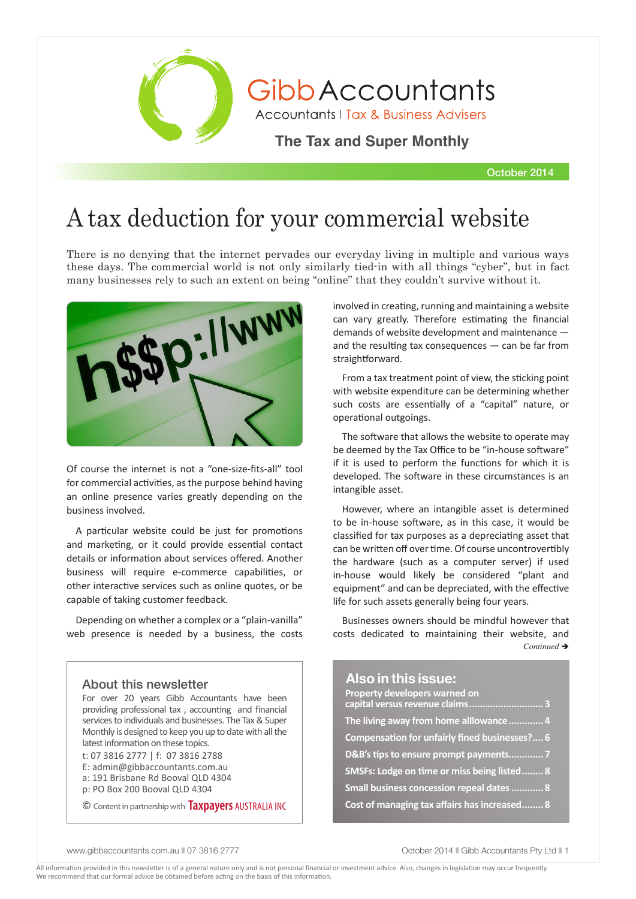

October 2014

# A tax deduction for your commercial website

There is no denying that the internet pervades our everyday living in multiple and various ways these days. The commercial world is not only similarly tied-in with all things "cyber", but in fact many businesses rely to such an extent on being "online" that they couldn't survive without it.



Of course the internet is not a "one-size-fits-all" tool for commercial activities, as the purpose behind having an online presence varies greatly depending on the business involved.

A particular website could be just for promotions and marketing, or it could provide essential contact details or information about services offered. Another business will require e-commerce capabilities, or other interactive services such as online quotes, or be capable of taking customer feedback.

Depending on whether a complex or a "plain-vanilla" web presence is needed by a business, the costs

### **Also in this issue:** About this newsletter

For over 20 years Gibb Accountants have been providing professional tax , accounting and financial services to individuals and businesses. The Tax & Super Monthly is designed to keep you up to date with all the latest information on these topics.

t: 07 3816 2777 | f: 07 3816 2788 E: admin@gibbaccountants.com.au a: 191 Brisbane Rd Booval QLD 4304

p: PO Box 200 Booval QLD 4304

© Content in partnership with **Taxpayers** AUSTRALIA INC

involved in creating, running and maintaining a website can vary greatly. Therefore estimating the financial demands of website development and maintenance and the resulting tax consequences — can be far from straightforward.

From a tax treatment point of view, the sticking point with website expenditure can be determining whether such costs are essentially of a "capital" nature, or operational outgoings.

The software that allows the website to operate may be deemed by the Tax Office to be "in-house software" if it is used to perform the functions for which it is developed. The software in these circumstances is an intangible asset.

However, where an intangible asset is determined to be in-house software, as in this case, it would be classified for tax purposes as a depreciating asset that can be written off over time. Of course uncontrovertibly the hardware (such as a computer server) if used in-house would likely be considered "plant and equipment" and can be depreciated, with the effective life for such assets generally being four years.

Businesses owners should be mindful however that costs dedicated to maintaining their website, and  $Continued \rightarrow$ 

| Property developers warned on<br>capital versus revenue claims 3 |  |
|------------------------------------------------------------------|--|
| The living away from home alllowance  4                          |  |
| Compensation for unfairly fined businesses? 6                    |  |
| D&B's tips to ensure prompt payments 7                           |  |
| SMSFs: Lodge on time or miss being listed  8                     |  |
| Small business concession repeal dates  8                        |  |
| Cost of managing tax affairs has increased 8                     |  |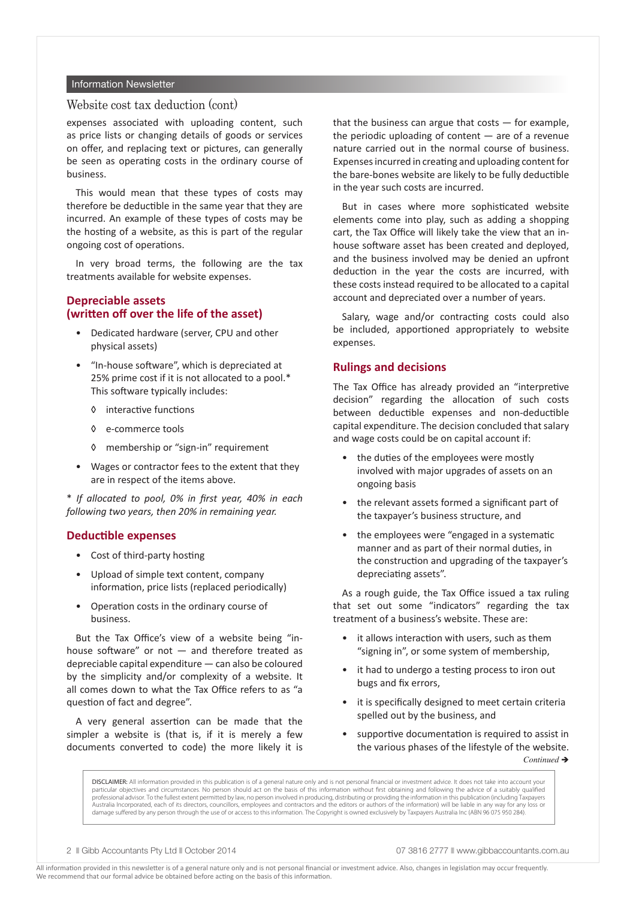#### Information Newsletter

### Website cost tax deduction (cont)

expenses associated with uploading content, such as price lists or changing details of goods or services on offer, and replacing text or pictures, can generally be seen as operating costs in the ordinary course of business.

This would mean that these types of costs may therefore be deductible in the same year that they are incurred. An example of these types of costs may be the hosting of a website, as this is part of the regular ongoing cost of operations.

In very broad terms, the following are the tax treatments available for website expenses.

### **Depreciable assets (written off over the life of the asset)**

- Dedicated hardware (server, CPU and other physical assets)
- "In-house software", which is depreciated at 25% prime cost if it is not allocated to a pool.\* This software typically includes:
	- ◊ interactive functions
	- ◊ e-commerce tools
	- ◊ membership or "sign-in" requirement
- Wages or contractor fees to the extent that they are in respect of the items above.

\* *If allocated to pool, 0% in first year, 40% in each following two years, then 20% in remaining year.*

#### **Deductible expenses**

- Cost of third-party hosting
- Upload of simple text content, company information, price lists (replaced periodically)
- Operation costs in the ordinary course of business.

But the Tax Office's view of a website being "inhouse software" or not — and therefore treated as depreciable capital expenditure — can also be coloured by the simplicity and/or complexity of a website. It all comes down to what the Tax Office refers to as "a question of fact and degree".

A very general assertion can be made that the simpler a website is (that is, if it is merely a few documents converted to code) the more likely it is

that the business can argue that costs  $-$  for example, the periodic uploading of content  $-$  are of a revenue nature carried out in the normal course of business. Expenses incurred in creating and uploading content for the bare-bones website are likely to be fully deductible in the year such costs are incurred.

But in cases where more sophisticated website elements come into play, such as adding a shopping cart, the Tax Office will likely take the view that an inhouse software asset has been created and deployed, and the business involved may be denied an upfront deduction in the year the costs are incurred, with these costs instead required to be allocated to a capital account and depreciated over a number of years.

Salary, wage and/or contracting costs could also be included, apportioned appropriately to website expenses.

### **Rulings and decisions**

The Tax Office has already provided an "interpretive decision" regarding the allocation of such costs between deductible expenses and non-deductible capital expenditure. The decision concluded that salary and wage costs could be on capital account if:

- the duties of the employees were mostly involved with major upgrades of assets on an ongoing basis
- the relevant assets formed a significant part of the taxpayer's business structure, and
- the employees were "engaged in a systematic manner and as part of their normal duties, in the construction and upgrading of the taxpayer's depreciating assets".

As a rough guide, the Tax Office issued a tax ruling that set out some "indicators" regarding the tax treatment of a business's website. These are:

- it allows interaction with users, such as them "signing in", or some system of membership,
- it had to undergo a testing process to iron out bugs and fix errors,
- it is specifically designed to meet certain criteria spelled out by the business, and
- supportive documentation is required to assist in the various phases of the lifestyle of the website.  $Continued \rightarrow$

DISCLAIMER: All information provided in this publication is of a general nature only and is not personal financial or investment advice. It does not take into account your particular objectives and circumstances. No person should act on the basis of this information without first obtaining and following the advice of a suitably qualified professional advisor. To the fullest extent permitted by law, no person involved in producing, distributing or providing the information in this publication (including Taxpayers Australia Incorporated, each of its directors, councillors, employees and contractors and the editors or authors of the information) will be liable in any way for any loss or damage suffered by any person through the use of or access to this information. The Copyright is owned exclusively by Taxpayers Australia Inc (ABN 96 075 950 284).

2 **Community** Britain Pty Ltd **N** October 2014 **07 3816 2777 N** www.gibbaccountants.com.au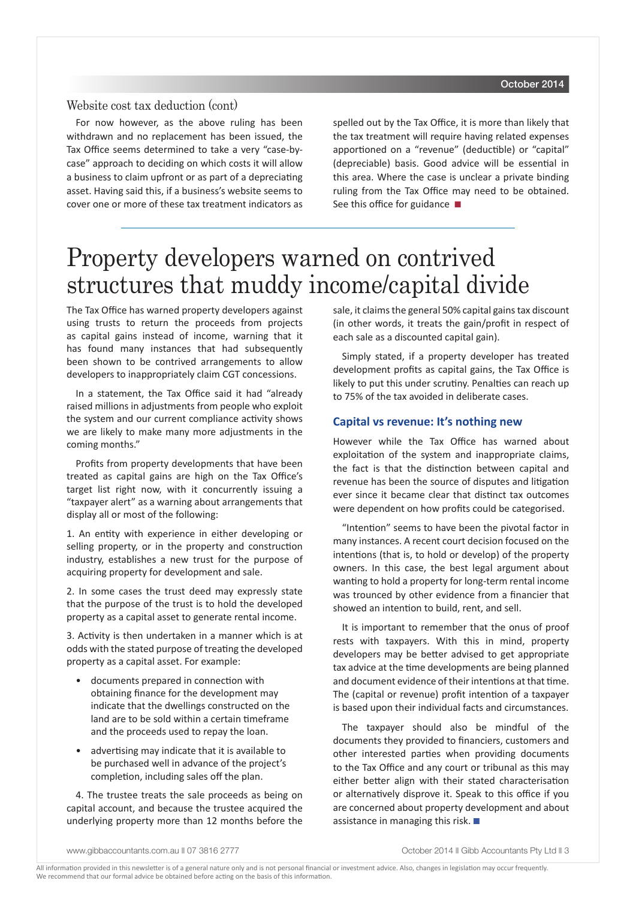### Website cost tax deduction (cont)

For now however, as the above ruling has been withdrawn and no replacement has been issued, the Tax Office seems determined to take a very "case-bycase" approach to deciding on which costs it will allow a business to claim upfront or as part of a depreciating asset. Having said this, if a business's website seems to cover one or more of these tax treatment indicators as spelled out by the Tax Office, it is more than likely that the tax treatment will require having related expenses apportioned on a "revenue" (deductible) or "capital" (depreciable) basis. Good advice will be essential in this area. Where the case is unclear a private binding ruling from the Tax Office may need to be obtained. See this office for guidance  $\blacksquare$ 

# Property developers warned on contrived structures that muddy income/capital divide

The Tax Office has warned property developers against using trusts to return the proceeds from projects as capital gains instead of income, warning that it has found many instances that had subsequently been shown to be contrived arrangements to allow developers to inappropriately claim CGT concessions.

In a statement, the Tax Office said it had "already raised millions in adjustments from people who exploit the system and our current compliance activity shows we are likely to make many more adjustments in the coming months."

Profits from property developments that have been treated as capital gains are high on the Tax Office's target list right now, with it concurrently issuing a "taxpayer alert" as a warning about arrangements that display all or most of the following:

1. An entity with experience in either developing or selling property, or in the property and construction industry, establishes a new trust for the purpose of acquiring property for development and sale.

2. In some cases the trust deed may expressly state that the purpose of the trust is to hold the developed property as a capital asset to generate rental income.

3. Activity is then undertaken in a manner which is at odds with the stated purpose of treating the developed property as a capital asset. For example:

- documents prepared in connection with obtaining finance for the development may indicate that the dwellings constructed on the land are to be sold within a certain timeframe and the proceeds used to repay the loan.
- advertising may indicate that it is available to be purchased well in advance of the project's completion, including sales off the plan.

4. The trustee treats the sale proceeds as being on capital account, and because the trustee acquired the underlying property more than 12 months before the sale, it claims the general 50% capital gains tax discount (in other words, it treats the gain/profit in respect of each sale as a discounted capital gain).

Simply stated, if a property developer has treated development profits as capital gains, the Tax Office is likely to put this under scrutiny. Penalties can reach up to 75% of the tax avoided in deliberate cases.

#### **Capital vs revenue: It's nothing new**

However while the Tax Office has warned about exploitation of the system and inappropriate claims, the fact is that the distinction between capital and revenue has been the source of disputes and litigation ever since it became clear that distinct tax outcomes were dependent on how profits could be categorised.

"Intention" seems to have been the pivotal factor in many instances. A recent court decision focused on the intentions (that is, to hold or develop) of the property owners. In this case, the best legal argument about wanting to hold a property for long-term rental income was trounced by other evidence from a financier that showed an intention to build, rent, and sell.

It is important to remember that the onus of proof rests with taxpayers. With this in mind, property developers may be better advised to get appropriate tax advice at the time developments are being planned and document evidence of their intentions at that time. The (capital or revenue) profit intention of a taxpayer is based upon their individual facts and circumstances.

The taxpayer should also be mindful of the documents they provided to financiers, customers and other interested parties when providing documents to the Tax Office and any court or tribunal as this may either better align with their stated characterisation or alternatively disprove it. Speak to this office if you are concerned about property development and about assistance in managing this risk.  $\blacksquare$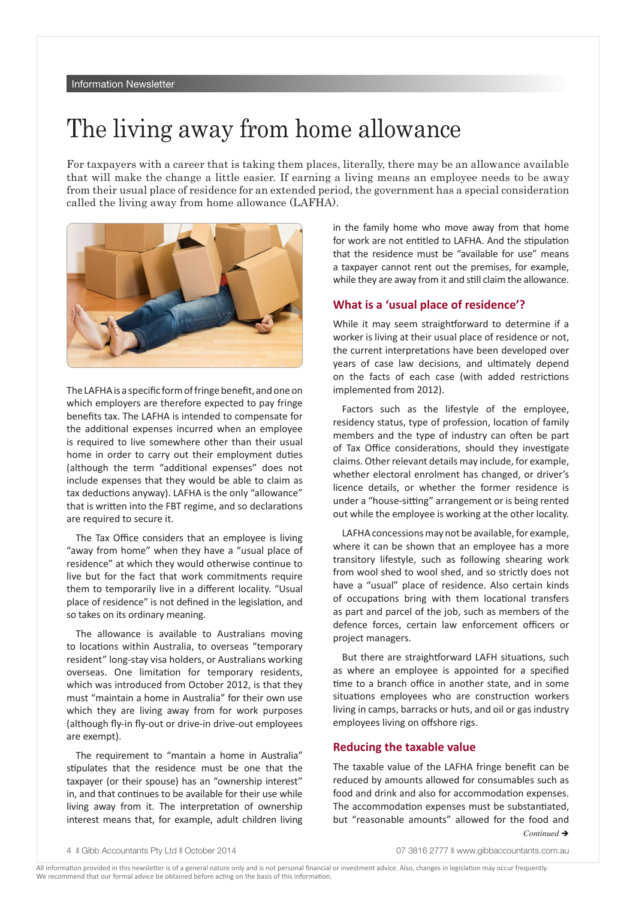# The living away from home allowance

For taxpayers with a career that is taking them places, literally, there may be an allowance available that will make the change a little easier. If earning a living means an employee needs to be away from their usual place of residence for an extended period, the government has a special consideration called the living away from home allowance (LAFHA).



The LAFHA is a specific form of fringe benefit, and one on which employers are therefore expected to pay fringe benefits tax. The LAFHA is intended to compensate for the additional expenses incurred when an employee is required to live somewhere other than their usual home in order to carry out their employment duties (although the term "additional expenses" does not include expenses that they would be able to claim as tax deductions anyway). LAFHA is the only "allowance" that is written into the FBT regime, and so declarations are required to secure it.

The Tax Office considers that an employee is living "away from home" when they have a "usual place of residence" at which they would otherwise continue to live but for the fact that work commitments require them to temporarily live in a different locality. "Usual place of residence" is not defined in the legislation, and so takes on its ordinary meaning.

The allowance is available to Australians moving to locations within Australia, to overseas "temporary resident" long-stay visa holders, or Australians working overseas. One limitation for temporary residents, which was introduced from October 2012, is that they must "maintain a home in Australia" for their own use which they are living away from for work purposes (although fly-in fly-out or drive-in drive-out employees are exempt).

The requirement to "mantain a home in Australia" stipulates that the residence must be one that the taxpayer (or their spouse) has an "ownership interest" in, and that continues to be available for their use while living away from it. The interpretation of ownership interest means that, for example, adult children living in the family home who move away from that home for work are not entitled to LAFHA. And the stipulation that the residence must be "available for use" means a taxpayer cannot rent out the premises, for example, while they are away from it and still claim the allowance.

### **What is a 'usual place of residence'?**

While it may seem straightforward to determine if a worker is living at their usual place of residence or not, the current interpretations have been developed over years of case law decisions, and ultimately depend on the facts of each case (with added restrictions implemented from 2012).

Factors such as the lifestyle of the employee, residency status, type of profession, location of family members and the type of industry can often be part of Tax Office considerations, should they investigate claims. Other relevant details may include, for example, whether electoral enrolment has changed, or driver's licence details, or whether the former residence is under a "house-sitting" arrangement or is being rented out while the employee is working at the other locality.

LAFHA concessions may not be available, for example, where it can be shown that an employee has a more transitory lifestyle, such as following shearing work from wool shed to wool shed, and so strictly does not have a "usual" place of residence. Also certain kinds of occupations bring with them locational transfers as part and parcel of the job, such as members of the defence forces, certain law enforcement officers or project managers.

But there are straightforward LAFH situations, such as where an employee is appointed for a specified time to a branch office in another state, and in some situations employees who are construction workers living in camps, barracks or huts, and oil or gas industry employees living on offshore rigs.

### **Reducing the taxable value**

The taxable value of the LAFHA fringe benefit can be reduced by amounts allowed for consumables such as food and drink and also for accommodation expenses. The accommodation expenses must be substantiated, but "reasonable amounts" allowed for the food and

Continued **→**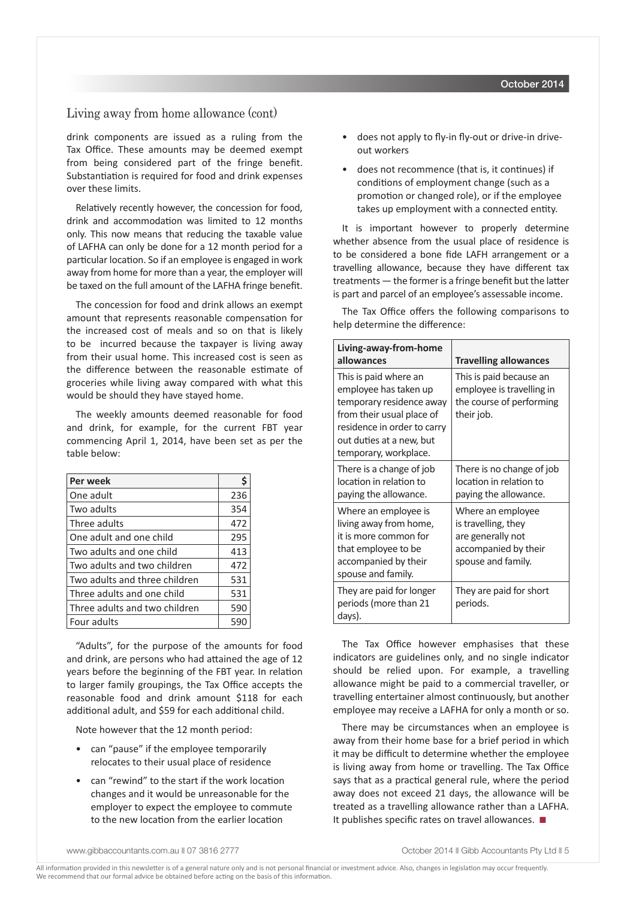### Living away from home allowance (cont)

drink components are issued as a ruling from the Tax Office. These amounts may be deemed exempt from being considered part of the fringe benefit. Substantiation is required for food and drink expenses over these limits.

Relatively recently however, the concession for food, drink and accommodation was limited to 12 months only. This now means that reducing the taxable value of LAFHA can only be done for a 12 month period for a particular location. So if an employee is engaged in work away from home for more than a year, the employer will be taxed on the full amount of the LAFHA fringe benefit.

The concession for food and drink allows an exempt amount that represents reasonable compensation for the increased cost of meals and so on that is likely to be incurred because the taxpayer is living away from their usual home. This increased cost is seen as the difference between the reasonable estimate of groceries while living away compared with what this would be should they have stayed home.

The weekly amounts deemed reasonable for food and drink, for example, for the current FBT year commencing April 1, 2014, have been set as per the table below:

| Per week                      |     |
|-------------------------------|-----|
| One adult                     | 236 |
| Two adults                    | 354 |
| Three adults                  | 472 |
| One adult and one child       | 295 |
| Two adults and one child      | 413 |
| Two adults and two children   | 472 |
| Two adults and three children | 531 |
| Three adults and one child    | 531 |
| Three adults and two children | 590 |
| Four adults                   | 59  |

"Adults", for the purpose of the amounts for food and drink, are persons who had attained the age of 12 years before the beginning of the FBT year. In relation to larger family groupings, the Tax Office accepts the reasonable food and drink amount \$118 for each additional adult, and \$59 for each additional child.

Note however that the 12 month period:

- can "pause" if the employee temporarily relocates to their usual place of residence
- can "rewind" to the start if the work location changes and it would be unreasonable for the employer to expect the employee to commute to the new location from the earlier location
- does not apply to fly-in fly-out or drive-in driveout workers
- does not recommence (that is, it continues) if conditions of employment change (such as a promotion or changed role), or if the employee takes up employment with a connected entity.

It is important however to properly determine whether absence from the usual place of residence is to be considered a bone fide LAFH arrangement or a travelling allowance, because they have different tax treatments — the former is a fringe benefit but the latter is part and parcel of an employee's assessable income.

The Tax Office offers the following comparisons to help determine the difference:

| Living-away-from-home<br>allowances                                                                                                                                                         | <b>Travelling allowances</b>                                                                                |
|---------------------------------------------------------------------------------------------------------------------------------------------------------------------------------------------|-------------------------------------------------------------------------------------------------------------|
| This is paid where an<br>employee has taken up<br>temporary residence away<br>from their usual place of<br>residence in order to carry<br>out duties at a new, but<br>temporary, workplace. | This is paid because an<br>employee is travelling in<br>the course of performing<br>their job.              |
| There is a change of job<br>location in relation to<br>paying the allowance.                                                                                                                | There is no change of job<br>location in relation to<br>paying the allowance.                               |
| Where an employee is<br>living away from home,<br>it is more common for<br>that employee to be<br>accompanied by their<br>spouse and family.                                                | Where an employee<br>is travelling, they<br>are generally not<br>accompanied by their<br>spouse and family. |
| They are paid for longer<br>periods (more than 21<br>days).                                                                                                                                 | They are paid for short<br>periods.                                                                         |

The Tax Office however emphasises that these indicators are guidelines only, and no single indicator should be relied upon. For example, a travelling allowance might be paid to a commercial traveller, or travelling entertainer almost continuously, but another employee may receive a LAFHA for only a month or so.

There may be circumstances when an employee is away from their home base for a brief period in which it may be difficult to determine whether the employee is living away from home or travelling. The Tax Office says that as a practical general rule, where the period away does not exceed 21 days, the allowance will be treated as a travelling allowance rather than a LAFHA. It publishes specific rates on travel allowances.  $\blacksquare$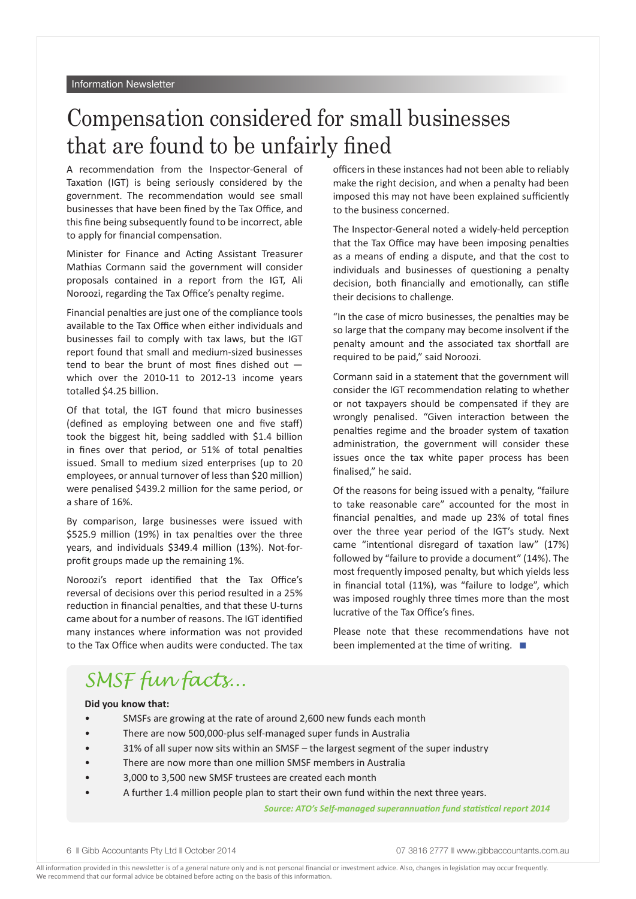# Compensation considered for small businesses that are found to be unfairly fined

A recommendation from the Inspector-General of Taxation (IGT) is being seriously considered by the government. The recommendation would see small businesses that have been fined by the Tax Office, and this fine being subsequently found to be incorrect, able to apply for financial compensation.

Minister for Finance and Acting Assistant Treasurer Mathias Cormann said the government will consider proposals contained in a report from the IGT, Ali Noroozi, regarding the Tax Office's penalty regime.

Financial penalties are just one of the compliance tools available to the Tax Office when either individuals and businesses fail to comply with tax laws, but the IGT report found that small and medium-sized businesses tend to bear the brunt of most fines dished out which over the 2010-11 to 2012-13 income years totalled \$4.25 billion.

Of that total, the IGT found that micro businesses (defined as employing between one and five staff) took the biggest hit, being saddled with \$1.4 billion in fines over that period, or 51% of total penalties issued. Small to medium sized enterprises (up to 20 employees, or annual turnover of less than \$20 million) were penalised \$439.2 million for the same period, or a share of 16%.

By comparison, large businesses were issued with \$525.9 million (19%) in tax penalties over the three years, and individuals \$349.4 million (13%). Not-forprofit groups made up the remaining 1%.

Noroozi's report identified that the Tax Office's reversal of decisions over this period resulted in a 25% reduction in financial penalties, and that these U-turns came about for a number of reasons. The IGT identified many instances where information was not provided to the Tax Office when audits were conducted. The tax officers in these instances had not been able to reliably make the right decision, and when a penalty had been imposed this may not have been explained sufficiently to the business concerned.

The Inspector-General noted a widely-held perception that the Tax Office may have been imposing penalties as a means of ending a dispute, and that the cost to individuals and businesses of questioning a penalty decision, both financially and emotionally, can stifle their decisions to challenge.

"In the case of micro businesses, the penalties may be so large that the company may become insolvent if the penalty amount and the associated tax shortfall are required to be paid," said Noroozi.

Cormann said in a statement that the government will consider the IGT recommendation relating to whether or not taxpayers should be compensated if they are wrongly penalised. "Given interaction between the penalties regime and the broader system of taxation administration, the government will consider these issues once the tax white paper process has been finalised," he said.

Of the reasons for being issued with a penalty, "failure to take reasonable care" accounted for the most in financial penalties, and made up 23% of total fines over the three year period of the IGT's study. Next came "intentional disregard of taxation law" (17%) followed by "failure to provide a document" (14%). The most frequently imposed penalty, but which yields less in financial total (11%), was "failure to lodge", which was imposed roughly three times more than the most lucrative of the Tax Office's fines.

Please note that these recommendations have not been implemented at the time of writing.  $\blacksquare$ 

## *SMSF fun facts...*

#### **Did you know that:**

- SMSFs are growing at the rate of around 2,600 new funds each month
- There are now 500,000-plus self-managed super funds in Australia
- 31% of all super now sits within an SMSF the largest segment of the super industry
- There are now more than one million SMSF members in Australia
- 3,000 to 3,500 new SMSF trustees are created each month
- A further 1.4 million people plan to start their own fund within the next three years.

*Source: ATO's Self-managed superannuation fund statistical report 2014*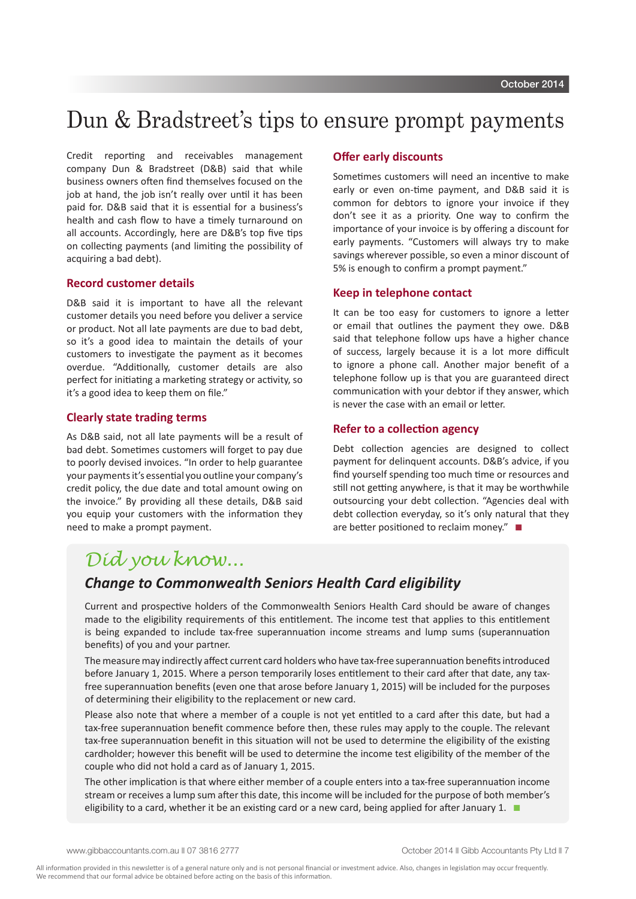### Dun & Bradstreet's tips to ensure prompt payments

Credit reporting and receivables management company Dun & Bradstreet (D&B) said that while business owners often find themselves focused on the job at hand, the job isn't really over until it has been paid for. D&B said that it is essential for a business's health and cash flow to have a timely turnaround on all accounts. Accordingly, here are D&B's top five tips on collecting payments (and limiting the possibility of acquiring a bad debt).

### **Record customer details**

D&B said it is important to have all the relevant customer details you need before you deliver a service or product. Not all late payments are due to bad debt, so it's a good idea to maintain the details of your customers to investigate the payment as it becomes overdue. "Additionally, customer details are also perfect for initiating a marketing strategy or activity, so it's a good idea to keep them on file."

### **Clearly state trading terms**

As D&B said, not all late payments will be a result of bad debt. Sometimes customers will forget to pay due to poorly devised invoices. "In order to help guarantee your payments it's essential you outline your company's credit policy, the due date and total amount owing on the invoice." By providing all these details, D&B said you equip your customers with the information they need to make a prompt payment.

### **Offer early discounts**

Sometimes customers will need an incentive to make early or even on-time payment, and D&B said it is common for debtors to ignore your invoice if they don't see it as a priority. One way to confirm the importance of your invoice is by offering a discount for early payments. "Customers will always try to make savings wherever possible, so even a minor discount of 5% is enough to confirm a prompt payment."

### **Keep in telephone contact**

It can be too easy for customers to ignore a letter or email that outlines the payment they owe. D&B said that telephone follow ups have a higher chance of success, largely because it is a lot more difficult to ignore a phone call. Another major benefit of a telephone follow up is that you are guaranteed direct communication with your debtor if they answer, which is never the case with an email or letter.

#### **Refer to a collection agency**

Debt collection agencies are designed to collect payment for delinquent accounts. D&B's advice, if you find yourself spending too much time or resources and still not getting anywhere, is that it may be worthwhile outsourcing your debt collection. "Agencies deal with debt collection everyday, so it's only natural that they are better positioned to reclaim money." $\square$ 

### *Did you know...*

### *Change to Commonwealth Seniors Health Card eligibility*

Current and prospective holders of the Commonwealth Seniors Health Card should be aware of changes made to the eligibility requirements of this entitlement. The income test that applies to this entitlement is being expanded to include tax-free superannuation income streams and lump sums (superannuation benefits) of you and your partner.

The measure may indirectly affect current card holders who have tax-free superannuation benefits introduced before January 1, 2015. Where a person temporarily loses entitlement to their card after that date, any taxfree superannuation benefits (even one that arose before January 1, 2015) will be included for the purposes of determining their eligibility to the replacement or new card.

Please also note that where a member of a couple is not yet entitled to a card after this date, but had a tax-free superannuation benefit commence before then, these rules may apply to the couple. The relevant tax-free superannuation benefit in this situation will not be used to determine the eligibility of the existing cardholder; however this benefit will be used to determine the income test eligibility of the member of the couple who did not hold a card as of January 1, 2015.

The other implication is that where either member of a couple enters into a tax-free superannuation income stream or receives a lump sum after this date, this income will be included for the purpose of both member's eligibility to a card, whether it be an existing card or a new card, being applied for after January 1.  $\blacksquare$